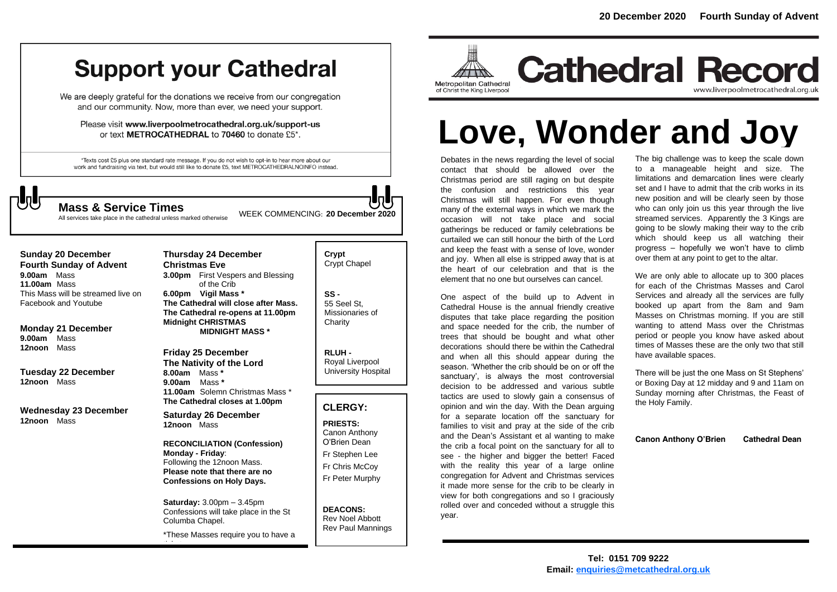## **Support your Cathedral**

We are deeply grateful for the donations we receive from our congregation and our community. Now, more than ever, we need your support.

Please visit www.liverpoolmetrocathedral.org.uk/support-us or text METROCATHEDRAL to 70460 to donate £5\*.

\*Texts cost £5 plus one standard rate message. If you do not wish to opt-in to hear more about our work and fundraising via text, but would still like to donate £5, text METROCATHEDRALNOINFO instead.

WEEK COMMENCING: **<sup>20</sup> December <sup>2020</sup> Mass & Service Times**

All services take place in the cathedral unless marked otherwise

**Sunday 20 December Fourth Sunday of Advent 9.00am** Mass **11.00am** Mass This Mass will be streamed live on Facebook and Youtube

**Monday 21 December 9.00am** Mass **12noon** Mass

**Tuesday 22 December 12noon** Mass

**Wednesday 23 December 12noon** Mass

**Thursday 24 December Christmas Eve 3.00pm** First Vespers and Blessing of the Crib **6.00pm Vigil Mass \* The Cathedral will close after Mass. The Cathedral re-opens at 11.00pm Midnight CHRISTMAS MIDNIGHT MASS \***

**Friday 25 December The Nativity of the Lord 8.00am** Mass **\* 9.00am** Mass **\* 11.00am** Solemn Christmas Mass \* **The Cathedral closes at 1.00pm**

**Saturday 26 December 12noon** Mass

**RECONCILIATION (Confession) Monday - Friday**: Following the 12noon Mass. **Please note that there are no Confessions on Holy Days.**

**Saturday:** 3.00pm – 3.45pm Confessions will take place in the St Columba Chapel.

\*These Masses require you to have a

ticket.

#### **Crypt**  Crypt Chapel

**SS -** 55 Seel St, Missionaries of **Charity** 

> **RLUH -** Royal Liverpool University Hospital

#### **CLERGY:**

**PRIESTS:** Canon Anthony O'Brien *Dean* Fr Stephen Lee Fr Chris McCoy Fr Peter Murphy

**DEACONS:** Rev Noel Abbott Rev Paul Mannings



**Cathedral Record** www.liverpoolmetrocathedral.org.uk

# **Love, Wonder and Joy**

Debates in the news regarding the level of social contact that should be allowed over the Christmas period are still raging on but despite the confusion and restrictions this year Christmas will still happen. For even though many of the external ways in which we mark the occasion will not take place and social gatherings be reduced or family celebrations be curtailed we can still honour the birth of the Lord and keep the feast with a sense of love, wonder and joy. When all else is stripped away that is at the heart of our celebration and that is the element that no one but ourselves can cancel.

One aspect of the build up to Advent in Cathedral House is the annual friendly creative disputes that take place regarding the position and space needed for the crib, the number of trees that should be bought and what other decorations should there be within the Cathedral and when all this should appear during the season. 'Whether the crib should be on or off the sanctuary', is always the most controversial decision to be addressed and various subtle tactics are used to slowly gain a consensus of opinion and win the day. With the Dean arguing for a separate location off the sanctuary for families to visit and pray at the side of the crib and the Dean's Assistant et al wanting to make the crib a focal point on the sanctuary for all to see - the higher and bigger the better! Faced with the reality this year of a large online congregation for Advent and Christmas services it made more sense for the crib to be clearly in view for both congregations and so I graciously rolled over and conceded without a struggle this year.

The big challenge was to keep the scale down to a manageable height and size. The limitations and demarcation lines were clearly set and I have to admit that the crib works in its new position and will be clearly seen by those who can only join us this year through the live streamed services. Apparently the 3 Kings are going to be slowly making their way to the crib which should keep us all watching their progress – hopefully we won't have to climb over them at any point to get to the altar.

We are only able to allocate up to 300 places for each of the Christmas Masses and Carol Services and already all the services are fully booked up apart from the 8am and 9am Masses on Christmas morning. If you are still wanting to attend Mass over the Christmas period or people you know have asked about times of Masses these are the only two that still have available spaces.

There will be just the one Mass on St Stephens' or Boxing Day at 12 midday and 9 and 11am on Sunday morning after Christmas, the Feast of the Holy Family.

**Canon Anthony O'Brien Cathedral Dean**